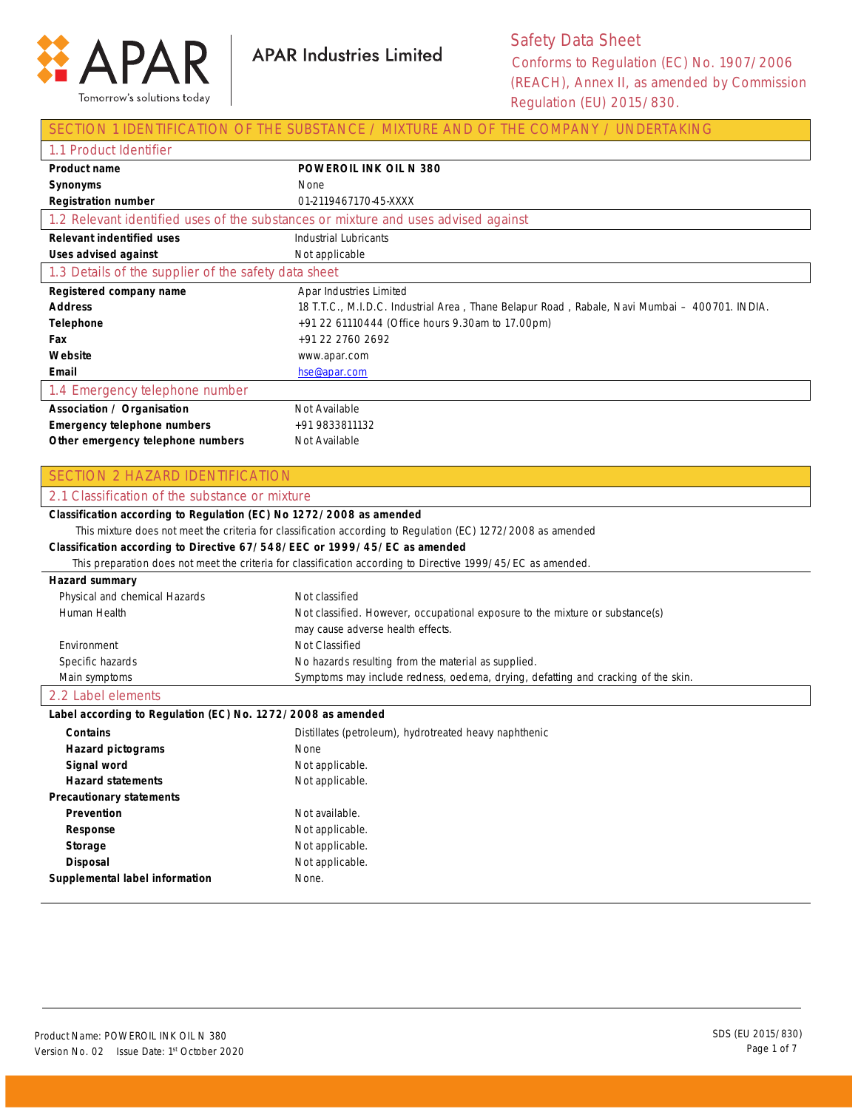

## Safety Data Sheet Conforms to Regulation (EC) No. 1907/2006 (REACH), Annex II, as amended by Commission Regulation (EU) 2015/830.

|                                                                           | SECTION 1 IDENTIFICATION OF THE SUBSTANCE / MIXTURE AND OF THE COMPANY / UNDERTAKING                         |
|---------------------------------------------------------------------------|--------------------------------------------------------------------------------------------------------------|
| 1.1 Product Identifier                                                    |                                                                                                              |
| <b>Product name</b>                                                       | <b>POWEROIL INK OIL N 380</b>                                                                                |
| Synonyms                                                                  | None                                                                                                         |
| <b>Registration number</b>                                                | 01-2119467170-45-XXXX                                                                                        |
|                                                                           | 1.2 Relevant identified uses of the substances or mixture and uses advised against                           |
| <b>Relevant indentified uses</b>                                          | <b>Industrial Lubricants</b>                                                                                 |
| Uses advised against                                                      | Not applicable                                                                                               |
| 1.3 Details of the supplier of the safety data sheet                      |                                                                                                              |
| Registered company name                                                   | Apar Industries Limited                                                                                      |
| <b>Address</b>                                                            | 18 T.T.C., M.I.D.C. Industrial Area, Thane Belapur Road, Rabale, Navi Mumbai - 400701. INDIA.                |
| <b>Telephone</b>                                                          | +91 22 61110444 (Office hours 9.30am to 17.00pm)                                                             |
| Fax                                                                       | +91 22 2760 2692                                                                                             |
| Website                                                                   | www.apar.com                                                                                                 |
| Email                                                                     | hse@apar.com                                                                                                 |
| 1.4 Emergency telephone number                                            |                                                                                                              |
| <b>Association / Organisation</b>                                         | Not Available                                                                                                |
| <b>Emergency telephone numbers</b>                                        | +91 9833811132                                                                                               |
| Other emergency telephone numbers                                         | Not Available                                                                                                |
|                                                                           |                                                                                                              |
| <b>SECTION 2 HAZARD IDENTIFICATION</b>                                    |                                                                                                              |
| 2.1 Classification of the substance or mixture                            |                                                                                                              |
| Classification according to Regulation (EC) No 1272/2008 as amended       |                                                                                                              |
|                                                                           | This mixture does not meet the criteria for classification according to Regulation (EC) 1272/2008 as amended |
| Classification according to Directive 67/548/EEC or 1999/45/EC as amended |                                                                                                              |
|                                                                           | This preparation does not meet the criteria for classification according to Directive 1999/45/EC as amended. |
| Hazard summary                                                            |                                                                                                              |
| Physical and chemical Hazards                                             | Not classified                                                                                               |
| Human Health                                                              | Not classified. However, occupational exposure to the mixture or substance(s)                                |
|                                                                           | may cause adverse health effects.                                                                            |
| Environment                                                               | Not Classified                                                                                               |
| Specific hazards                                                          | No hazards resulting from the material as supplied.                                                          |
| Main symptoms                                                             | Symptoms may include redness, oedema, drying, defatting and cracking of the skin.                            |
| 2.2 Label elements                                                        |                                                                                                              |
| Label according to Regulation (EC) No. 1272/2008 as amended               |                                                                                                              |
| <b>Contains</b>                                                           | Distillates (petroleum), hydrotreated heavy naphthenic                                                       |
| <b>Hazard pictograms</b>                                                  | None                                                                                                         |
| Signal word                                                               | Not applicable.                                                                                              |
| <b>Hazard statements</b>                                                  | Not applicable.                                                                                              |
| <b>Precautionary statements</b>                                           |                                                                                                              |
| Prevention                                                                | Not available.                                                                                               |
| Response                                                                  | Not applicable.                                                                                              |
| Storage                                                                   | Not applicable.                                                                                              |
| <b>Disposal</b>                                                           | Not applicable.                                                                                              |
|                                                                           |                                                                                                              |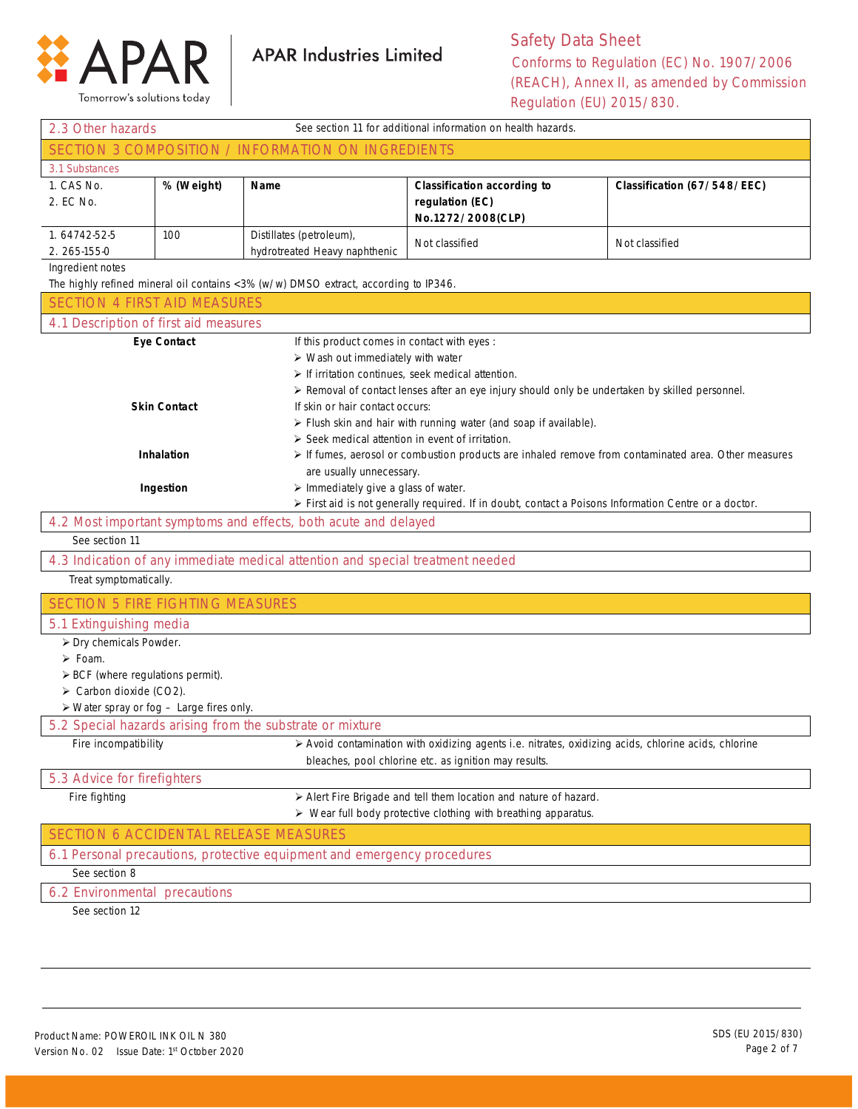

Tomorrow's solutions today

## Safety Data Sheet Conforms to Regulation (EC) No. 1907/2006 (REACH), Annex II, as amended by Commission Regulation (EU) 2015/830.

| See section 11 for additional information on health hazards.<br>2.3 Other hazards                                                                                                                    |                     |                                                                                     |                                                                                                                                     |                             |
|------------------------------------------------------------------------------------------------------------------------------------------------------------------------------------------------------|---------------------|-------------------------------------------------------------------------------------|-------------------------------------------------------------------------------------------------------------------------------------|-----------------------------|
| SECTION 3 COMPOSITION / INFORMATION ON INGREDIENTS                                                                                                                                                   |                     |                                                                                     |                                                                                                                                     |                             |
| 3.1 Substances                                                                                                                                                                                       |                     |                                                                                     |                                                                                                                                     |                             |
| 1. CAS No.<br>2. EC No.                                                                                                                                                                              | % (Weight)          | Name                                                                                | <b>Classification according to</b><br>regulation (EC)<br>No.1272/2008(CLP)                                                          | Classification (67/548/EEC) |
| 1.64742-52-5<br>2. 265-155-0                                                                                                                                                                         | 100                 | Distillates (petroleum),<br>hydrotreated Heavy naphthenic                           | Not classified                                                                                                                      | Not classified              |
| Ingredient notes                                                                                                                                                                                     |                     |                                                                                     |                                                                                                                                     |                             |
|                                                                                                                                                                                                      |                     | The highly refined mineral oil contains <3% (w/w) DMSO extract, according to IP346. |                                                                                                                                     |                             |
| <b>SECTION 4 FIRST AID MEASURES</b>                                                                                                                                                                  |                     |                                                                                     |                                                                                                                                     |                             |
| 4.1 Description of first aid measures                                                                                                                                                                |                     |                                                                                     |                                                                                                                                     |                             |
|                                                                                                                                                                                                      | <b>Eye Contact</b>  | If this product comes in contact with eyes :                                        |                                                                                                                                     |                             |
|                                                                                                                                                                                                      |                     | $\triangleright$ Wash out immediately with water                                    |                                                                                                                                     |                             |
|                                                                                                                                                                                                      |                     | $\triangleright$ If irritation continues, seek medical attention.                   |                                                                                                                                     |                             |
|                                                                                                                                                                                                      |                     |                                                                                     | ≻ Removal of contact lenses after an eye injury should only be undertaken by skilled personnel.                                     |                             |
|                                                                                                                                                                                                      | <b>Skin Contact</b> | If skin or hair contact occurs:                                                     |                                                                                                                                     |                             |
|                                                                                                                                                                                                      |                     |                                                                                     | > Flush skin and hair with running water (and soap if available).                                                                   |                             |
|                                                                                                                                                                                                      | <b>Inhalation</b>   | > Seek medical attention in event of irritation.                                    |                                                                                                                                     |                             |
|                                                                                                                                                                                                      |                     | are usually unnecessary.                                                            | If fumes, aerosol or combustion products are inhaled remove from contaminated area. Other measures                                  |                             |
|                                                                                                                                                                                                      |                     |                                                                                     |                                                                                                                                     |                             |
| > Immediately give a glass of water.<br>Ingestion<br>> First aid is not generally required. If in doubt, contact a Poisons Information Centre or a doctor.                                           |                     |                                                                                     |                                                                                                                                     |                             |
|                                                                                                                                                                                                      |                     | 4.2 Most important symptoms and effects, both acute and delayed                     |                                                                                                                                     |                             |
| See section 11                                                                                                                                                                                       |                     |                                                                                     |                                                                                                                                     |                             |
|                                                                                                                                                                                                      |                     | 4.3 Indication of any immediate medical attention and special treatment needed      |                                                                                                                                     |                             |
| Treat symptomatically.                                                                                                                                                                               |                     |                                                                                     |                                                                                                                                     |                             |
| <b>SECTION 5 FIRE FIGHTING MEASURES</b>                                                                                                                                                              |                     |                                                                                     |                                                                                                                                     |                             |
| 5.1 Extinguishing media                                                                                                                                                                              |                     |                                                                                     |                                                                                                                                     |                             |
| > Dry chemicals Powder.                                                                                                                                                                              |                     |                                                                                     |                                                                                                                                     |                             |
| $\triangleright$ Foam.                                                                                                                                                                               |                     |                                                                                     |                                                                                                                                     |                             |
| $\triangleright$ BCF (where regulations permit).                                                                                                                                                     |                     |                                                                                     |                                                                                                                                     |                             |
| > Carbon dioxide (CO2).                                                                                                                                                                              |                     |                                                                                     |                                                                                                                                     |                             |
| $\triangleright$ Water spray or fog - Large fires only.                                                                                                                                              |                     |                                                                                     |                                                                                                                                     |                             |
| 5.2 Special hazards arising from the substrate or mixture<br>Fire incompatibility entries and the Avoid contamination with oxidizing agents i.e. nitrates, oxidizing acids, chlorine acids, chlorine |                     |                                                                                     |                                                                                                                                     |                             |
|                                                                                                                                                                                                      |                     |                                                                                     | bleaches, pool chlorine etc. as ignition may results.                                                                               |                             |
| 5.3 Advice for firefighters                                                                                                                                                                          |                     |                                                                                     |                                                                                                                                     |                             |
| Fire fighting                                                                                                                                                                                        |                     |                                                                                     | > Alert Fire Brigade and tell them location and nature of hazard.<br>> Wear full body protective clothing with breathing apparatus. |                             |
| SECTION 6 ACCIDENTAL RELEASE MEASURES                                                                                                                                                                |                     |                                                                                     |                                                                                                                                     |                             |
|                                                                                                                                                                                                      |                     | 6.1 Personal precautions, protective equipment and emergency procedures             |                                                                                                                                     |                             |
| See section 8                                                                                                                                                                                        |                     |                                                                                     |                                                                                                                                     |                             |
| 6.2 Environmental precautions                                                                                                                                                                        |                     |                                                                                     |                                                                                                                                     |                             |

**APAR Industries Limited** 

See section 12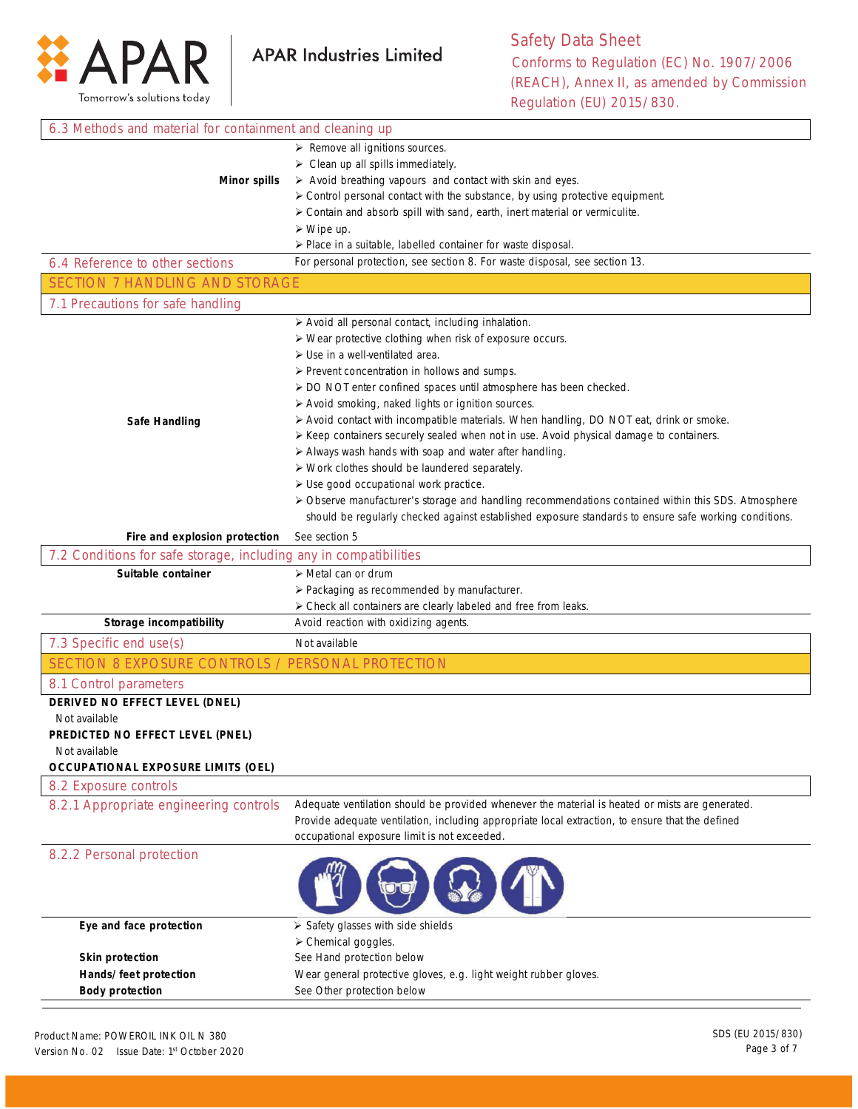

ī

| 6.3 Methods and material for containment and cleaning up          |                                                                                                       |  |
|-------------------------------------------------------------------|-------------------------------------------------------------------------------------------------------|--|
|                                                                   | > Remove all ignitions sources.                                                                       |  |
| $\triangleright$ Clean up all spills immediately.                 |                                                                                                       |  |
| <b>Minor spills</b>                                               | $\triangleright$ Avoid breathing vapours and contact with skin and eyes.                              |  |
|                                                                   | > Control personal contact with the substance, by using protective equipment.                         |  |
|                                                                   | > Contain and absorb spill with sand, earth, inert material or vermiculite.                           |  |
|                                                                   | $\triangleright$ Wipe up.                                                                             |  |
|                                                                   | $\triangleright$ Place in a suitable, labelled container for waste disposal.                          |  |
| 6.4 Reference to other sections                                   | For personal protection, see section 8. For waste disposal, see section 13.                           |  |
| <b>SECTION 7 HANDLING AND STORAGE</b>                             |                                                                                                       |  |
| 7.1 Precautions for safe handling                                 |                                                                                                       |  |
|                                                                   | > Avoid all personal contact, including inhalation.                                                   |  |
|                                                                   | > Wear protective clothing when risk of exposure occurs.                                              |  |
|                                                                   | $\triangleright$ Use in a well-ventilated area.                                                       |  |
|                                                                   | $\triangleright$ Prevent concentration in hollows and sumps.                                          |  |
|                                                                   | > DO NOT enter confined spaces until atmosphere has been checked.                                     |  |
|                                                                   | > Avoid smoking, naked lights or ignition sources.                                                    |  |
| Safe Handling                                                     | > Avoid contact with incompatible materials. When handling, DO NOT eat, drink or smoke.               |  |
|                                                                   | ≻ Keep containers securely sealed when not in use. Avoid physical damage to containers.               |  |
|                                                                   | > Always wash hands with soap and water after handling.                                               |  |
|                                                                   | > Work clothes should be laundered separately.                                                        |  |
|                                                                   | > Use good occupational work practice.                                                                |  |
|                                                                   | > Observe manufacturer's storage and handling recommendations contained within this SDS. Atmosphere   |  |
|                                                                   | should be regularly checked against established exposure standards to ensure safe working conditions. |  |
| Fire and explosion protection                                     | See section 5                                                                                         |  |
| 7.2 Conditions for safe storage, including any in compatibilities |                                                                                                       |  |
|                                                                   |                                                                                                       |  |
|                                                                   |                                                                                                       |  |
| Suitable container                                                | $\triangleright$ Metal can or drum                                                                    |  |
|                                                                   | > Packaging as recommended by manufacturer.                                                           |  |
|                                                                   | > Check all containers are clearly labeled and free from leaks.                                       |  |
| Storage incompatibility                                           | Avoid reaction with oxidizing agents.                                                                 |  |
| 7.3 Specific end use(s)                                           | Not available                                                                                         |  |
| SECTION 8 EXPOSURE CONTROLS / PERSONAL PROTECTION                 |                                                                                                       |  |
| 8.1 Control parameters                                            |                                                                                                       |  |
| DERIVED NO EFFECT LEVEL (DNEL)                                    |                                                                                                       |  |
| Not available                                                     |                                                                                                       |  |
| PREDICTED NO EFFECT LEVEL (PNEL)                                  |                                                                                                       |  |
| Not available                                                     |                                                                                                       |  |
| <b>OCCUPATIONAL EXPOSURE LIMITS (OEL)</b>                         |                                                                                                       |  |
| 8.2 Exposure controls                                             |                                                                                                       |  |
| 8.2.1 Appropriate engineering controls                            | Adequate ventilation should be provided whenever the material is heated or mists are generated.       |  |
|                                                                   | Provide adequate ventilation, including appropriate local extraction, to ensure that the defined      |  |
|                                                                   | occupational exposure limit is not exceeded.                                                          |  |
| 8.2.2 Personal protection                                         |                                                                                                       |  |
|                                                                   |                                                                                                       |  |
|                                                                   |                                                                                                       |  |
|                                                                   |                                                                                                       |  |
| Eye and face protection                                           | > Safety glasses with side shields                                                                    |  |
|                                                                   | > Chemical goggles.                                                                                   |  |
| <b>Skin protection</b>                                            | See Hand protection below                                                                             |  |
| Hands/feet protection<br><b>Body protection</b>                   | Wear general protective gloves, e.g. light weight rubber gloves.<br>See Other protection below        |  |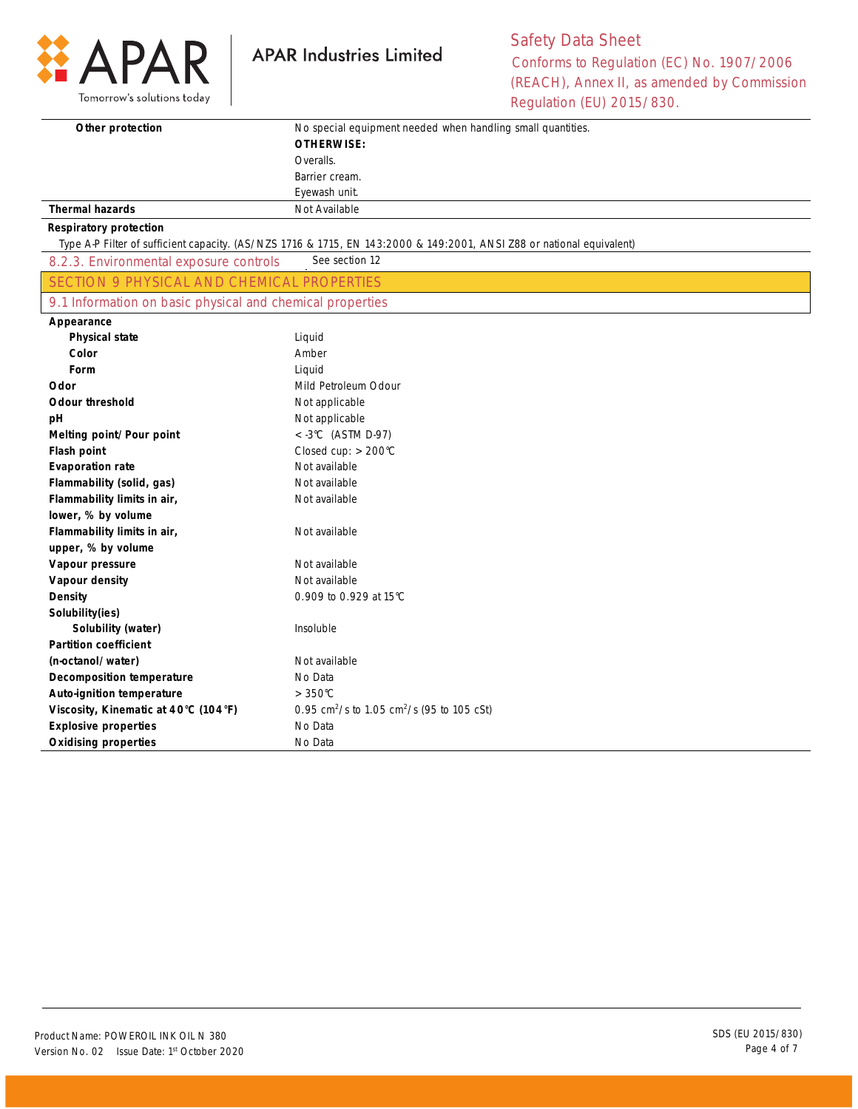

## Safety Data Sheet Conforms to Regulation (EC) No. 1907/2006 (REACH), Annex II, as amended by Commission Regulation (EU) 2015/830.

| Other protection                                          | No special equipment needed when handling small quantities.<br><b>OTHERWISE:</b>                                      |  |
|-----------------------------------------------------------|-----------------------------------------------------------------------------------------------------------------------|--|
|                                                           |                                                                                                                       |  |
|                                                           | Overalls.<br>Barrier cream.                                                                                           |  |
|                                                           | Eyewash unit.                                                                                                         |  |
| <b>Thermal hazards</b>                                    | Not Available                                                                                                         |  |
|                                                           |                                                                                                                       |  |
| <b>Respiratory protection</b>                             | Type A-P Filter of sufficient capacity. (AS/NZS 1716 & 1715, EN 143:2000 & 149:2001, ANSI Z88 or national equivalent) |  |
| 8.2.3. Environmental exposure controls                    | See section 12                                                                                                        |  |
| <b>SECTION 9 PHYSICAL AND CHEMICAL PROPERTIES</b>         |                                                                                                                       |  |
| 9.1 Information on basic physical and chemical properties |                                                                                                                       |  |
| Appearance                                                |                                                                                                                       |  |
| <b>Physical state</b>                                     | Liquid                                                                                                                |  |
| Color                                                     | Amber                                                                                                                 |  |
| Form                                                      | Liquid                                                                                                                |  |
| Odor                                                      | Mild Petroleum Odour                                                                                                  |  |
| <b>Odour threshold</b>                                    | Not applicable                                                                                                        |  |
| pH                                                        | Not applicable                                                                                                        |  |
| Melting point/Pour point                                  | $<$ -3°C (ASTM D-97)                                                                                                  |  |
| Flash point                                               | Closed cup: $> 200^{\circ}$ C                                                                                         |  |
| <b>Evaporation rate</b>                                   | Not available                                                                                                         |  |
| Flammability (solid, gas)                                 | Not available                                                                                                         |  |
| Flammability limits in air,                               | Not available                                                                                                         |  |
| lower, % by volume                                        |                                                                                                                       |  |
| Flammability limits in air,                               | Not available                                                                                                         |  |
| upper, % by volume                                        |                                                                                                                       |  |
| Vapour pressure                                           | Not available                                                                                                         |  |
| Vapour density                                            | Not available                                                                                                         |  |
| Density                                                   | 0.909 to 0.929 at 15°C                                                                                                |  |
| Solubility(ies)                                           |                                                                                                                       |  |
| Solubility (water)                                        | Insoluble                                                                                                             |  |
| <b>Partition coefficient</b>                              |                                                                                                                       |  |
| (n-octanol/water)                                         | Not available                                                                                                         |  |
| <b>Decomposition temperature</b>                          | No Data                                                                                                               |  |
| <b>Auto-ignition temperature</b>                          | $>350^{\circ}$ C                                                                                                      |  |
| Viscosity, Kinematic at 40°C (104°F)                      | 0.95 cm <sup>2</sup> /s to 1.05 cm <sup>2</sup> /s (95 to 105 cSt)                                                    |  |
| <b>Explosive properties</b>                               | No Data                                                                                                               |  |
| <b>Oxidising properties</b>                               | No Data                                                                                                               |  |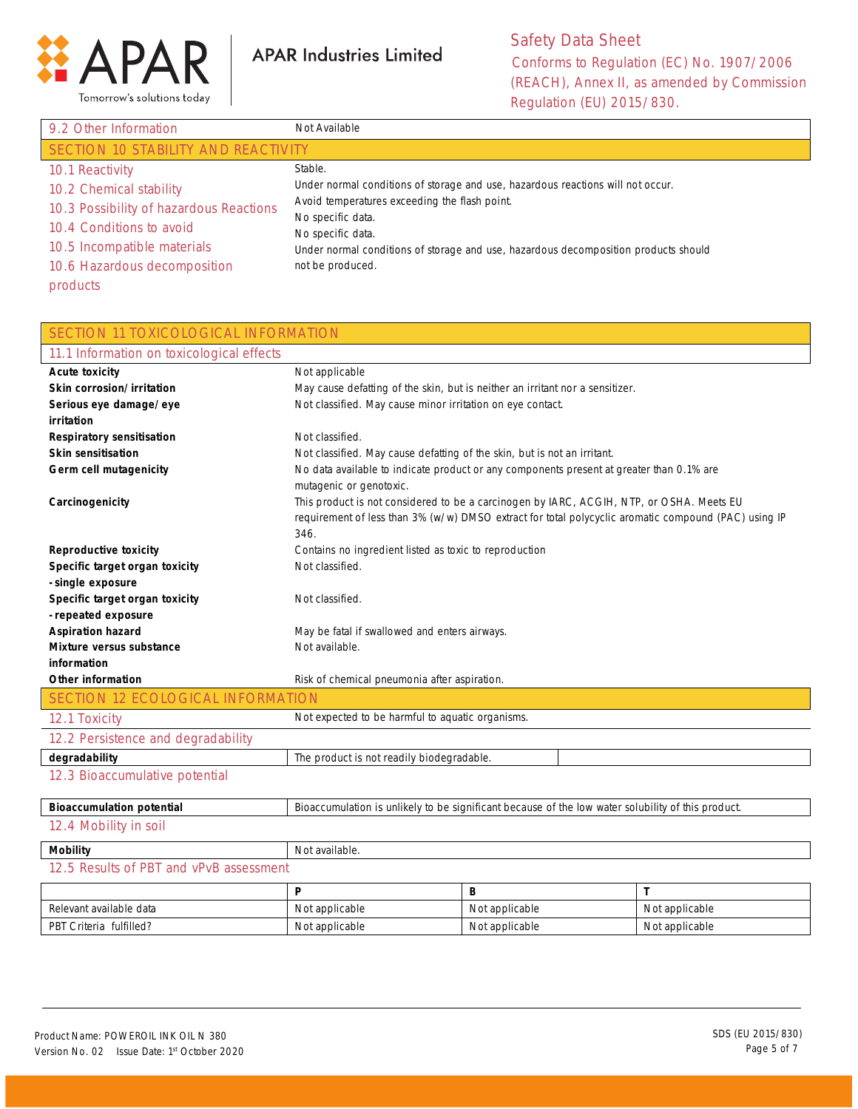

Safety Data Sheet Conforms to Regulation (EC) No. 1907/2006 (REACH), Annex II, as amended by Commission Regulation (EU) 2015/830.

| 9.2 Other Information                   | Not Available                                                                       |  |  |
|-----------------------------------------|-------------------------------------------------------------------------------------|--|--|
| SECTION 10 STABILITY AND REACTIVITY     |                                                                                     |  |  |
| 10.1 Reactivity                         | Stable.                                                                             |  |  |
| 10.2 Chemical stability                 | Under normal conditions of storage and use, hazardous reactions will not occur.     |  |  |
| 10.3 Possibility of hazardous Reactions | Avoid temperatures exceeding the flash point.                                       |  |  |
| 10.4 Conditions to avoid                | No specific data.<br>No specific data.                                              |  |  |
| 10.5 Incompatible materials             | Under normal conditions of storage and use, hazardous decomposition products should |  |  |
| 10.6 Hazardous decomposition            | not be produced.                                                                    |  |  |
| products                                |                                                                                     |  |  |

| <b>SECTION 11 TOXICOLOGICAL INFORMATION</b> |                                                                                                                                                                                                          |                                                                               |                |
|---------------------------------------------|----------------------------------------------------------------------------------------------------------------------------------------------------------------------------------------------------------|-------------------------------------------------------------------------------|----------------|
| 11.1 Information on toxicological effects   |                                                                                                                                                                                                          |                                                                               |                |
| <b>Acute toxicity</b>                       | Not applicable                                                                                                                                                                                           |                                                                               |                |
| Skin corrosion/irritation                   |                                                                                                                                                                                                          | May cause defatting of the skin, but is neither an irritant nor a sensitizer. |                |
| Serious eye damage/eye                      | Not classified. May cause minor irritation on eye contact.                                                                                                                                               |                                                                               |                |
| irritation                                  |                                                                                                                                                                                                          |                                                                               |                |
| Respiratory sensitisation                   | Not classified.                                                                                                                                                                                          |                                                                               |                |
| <b>Skin sensitisation</b>                   | Not classified. May cause defatting of the skin, but is not an irritant.                                                                                                                                 |                                                                               |                |
| Germ cell mutagenicity                      | No data available to indicate product or any components present at greater than 0.1% are<br>mutagenic or genotoxic.                                                                                      |                                                                               |                |
| Carcinogenicity                             | This product is not considered to be a carcinogen by IARC, ACGIH, NTP, or OSHA. Meets EU<br>requirement of less than 3% (w/w) DMSO extract for total polycyclic aromatic compound (PAC) using IP<br>346. |                                                                               |                |
| <b>Reproductive toxicity</b>                | Contains no ingredient listed as toxic to reproduction                                                                                                                                                   |                                                                               |                |
| Specific target organ toxicity              | Not classified.                                                                                                                                                                                          |                                                                               |                |
| - single exposure                           |                                                                                                                                                                                                          |                                                                               |                |
| Specific target organ toxicity              | Not classified.                                                                                                                                                                                          |                                                                               |                |
| - repeated exposure                         |                                                                                                                                                                                                          |                                                                               |                |
| <b>Aspiration hazard</b>                    | May be fatal if swallowed and enters airways.                                                                                                                                                            |                                                                               |                |
| Mixture versus substance                    | Not available.                                                                                                                                                                                           |                                                                               |                |
| information                                 |                                                                                                                                                                                                          |                                                                               |                |
| Other information                           | Risk of chemical pneumonia after aspiration.                                                                                                                                                             |                                                                               |                |
| SECTION 12 ECOLOGICAL INFORMATION           |                                                                                                                                                                                                          |                                                                               |                |
| 12.1 Toxicity                               | Not expected to be harmful to aquatic organisms.                                                                                                                                                         |                                                                               |                |
| 12.2 Persistence and degradability          |                                                                                                                                                                                                          |                                                                               |                |
| degradability                               | The product is not readily biodegradable.                                                                                                                                                                |                                                                               |                |
| 12.3 Bioaccumulative potential              |                                                                                                                                                                                                          |                                                                               |                |
| <b>Bioaccumulation potential</b>            | Bioaccumulation is unlikely to be significant because of the low water solubility of this product.                                                                                                       |                                                                               |                |
| 12.4 Mobility in soil                       |                                                                                                                                                                                                          |                                                                               |                |
| <b>Mobility</b>                             | Not available.                                                                                                                                                                                           |                                                                               |                |
| 12.5 Results of PBT and vPvB assessment     |                                                                                                                                                                                                          |                                                                               |                |
|                                             | P                                                                                                                                                                                                        | B                                                                             | T              |
| Relevant available data                     | Not applicable                                                                                                                                                                                           | Not applicable                                                                | Not applicable |
| PBT Criteria fulfilled?                     | Not applicable<br>Not applicable<br>Not applicable                                                                                                                                                       |                                                                               |                |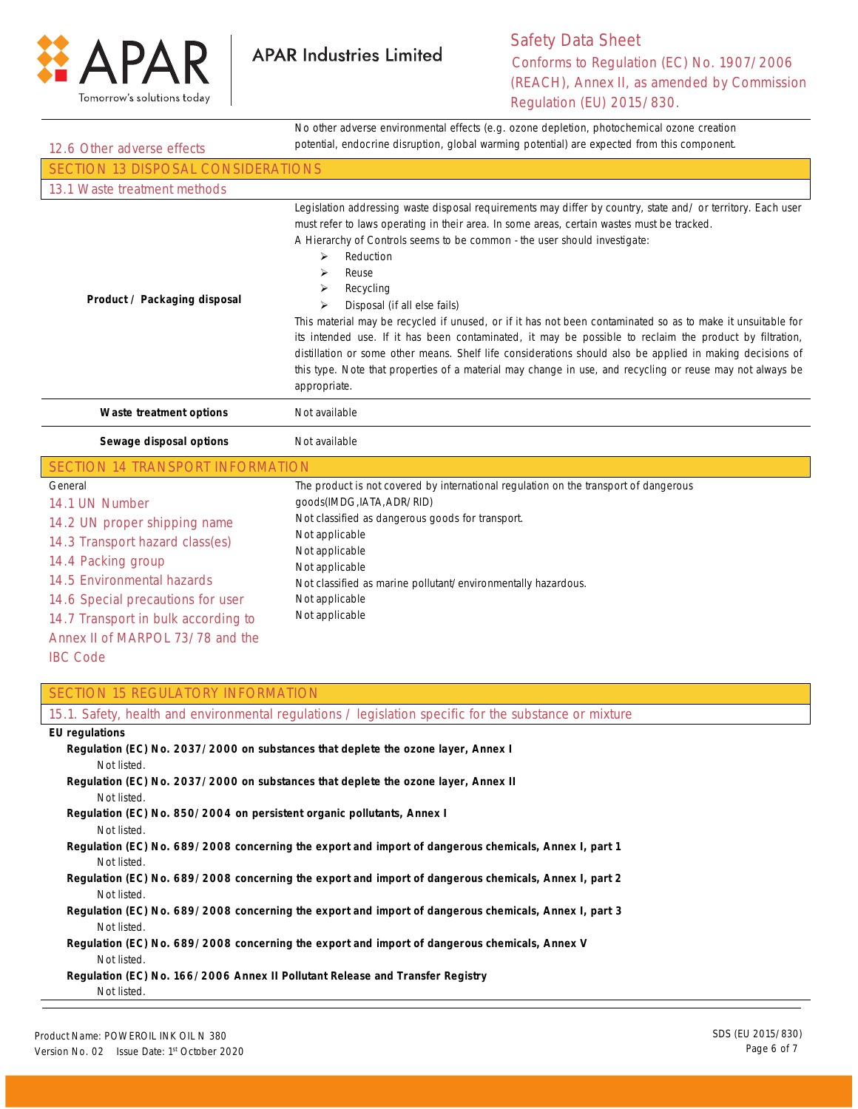

No other adverse environmental effects (e.g. ozone depletion, photochemical ozone creation

| 12.6 Other adverse effects                                                                                                                                                                                                                                                                               | potential, endocrine disruption, global warming potential) are expected from this component.                                                                                                                                                                                                                                                                                                                                                                                                                                                                                                                                                                                                                                                                                                                                                       |
|----------------------------------------------------------------------------------------------------------------------------------------------------------------------------------------------------------------------------------------------------------------------------------------------------------|----------------------------------------------------------------------------------------------------------------------------------------------------------------------------------------------------------------------------------------------------------------------------------------------------------------------------------------------------------------------------------------------------------------------------------------------------------------------------------------------------------------------------------------------------------------------------------------------------------------------------------------------------------------------------------------------------------------------------------------------------------------------------------------------------------------------------------------------------|
| <b>SECTION 13 DISPOSAL CONSIDERATIONS</b>                                                                                                                                                                                                                                                                |                                                                                                                                                                                                                                                                                                                                                                                                                                                                                                                                                                                                                                                                                                                                                                                                                                                    |
| 13.1 Waste treatment methods                                                                                                                                                                                                                                                                             |                                                                                                                                                                                                                                                                                                                                                                                                                                                                                                                                                                                                                                                                                                                                                                                                                                                    |
| Product / Packaging disposal                                                                                                                                                                                                                                                                             | Legislation addressing waste disposal requirements may differ by country, state and/ or territory. Each user<br>must refer to laws operating in their area. In some areas, certain wastes must be tracked.<br>A Hierarchy of Controls seems to be common - the user should investigate:<br>Reduction<br>➤<br>➤<br>Reuse<br>➤<br>Recycling<br>Disposal (if all else fails)<br>➤<br>This material may be recycled if unused, or if it has not been contaminated so as to make it unsuitable for<br>its intended use. If it has been contaminated, it may be possible to reclaim the product by filtration,<br>distillation or some other means. Shelf life considerations should also be applied in making decisions of<br>this type. Note that properties of a material may change in use, and recycling or reuse may not always be<br>appropriate. |
| Waste treatment options                                                                                                                                                                                                                                                                                  | Not available                                                                                                                                                                                                                                                                                                                                                                                                                                                                                                                                                                                                                                                                                                                                                                                                                                      |
| Sewage disposal options                                                                                                                                                                                                                                                                                  | Not available                                                                                                                                                                                                                                                                                                                                                                                                                                                                                                                                                                                                                                                                                                                                                                                                                                      |
| <b>SECTION 14 TRANSPORT INFORMATION</b>                                                                                                                                                                                                                                                                  |                                                                                                                                                                                                                                                                                                                                                                                                                                                                                                                                                                                                                                                                                                                                                                                                                                                    |
| General<br>14.1 UN Number<br>14.2 UN proper shipping name<br>14.3 Transport hazard class(es)<br>14.4 Packing group<br>14.5 Environmental hazards<br>14.6 Special precautions for user<br>14.7 Transport in bulk according to<br>Annex II of MARPOL 73/78 and the<br><b>IBC Code</b>                      | The product is not covered by international regulation on the transport of dangerous<br>goods(IMDG, IATA, ADR/RID)<br>Not classified as dangerous goods for transport.<br>Not applicable<br>Not applicable<br>Not applicable<br>Not classified as marine pollutant/environmentally hazardous.<br>Not applicable<br>Not applicable                                                                                                                                                                                                                                                                                                                                                                                                                                                                                                                  |
| <b>SECTION 15 REGULATORY INFORMATION</b>                                                                                                                                                                                                                                                                 |                                                                                                                                                                                                                                                                                                                                                                                                                                                                                                                                                                                                                                                                                                                                                                                                                                                    |
|                                                                                                                                                                                                                                                                                                          | 15.1. Safety, health and environmental regulations / legislation specific for the substance or mixture                                                                                                                                                                                                                                                                                                                                                                                                                                                                                                                                                                                                                                                                                                                                             |
| <b>EU</b> regulations<br>Not listed.<br>Not listed.<br>Regulation (EC) No. 850/2004 on persistent organic pollutants, Annex I<br>Not listed.<br>Not listed.<br>Not listed.<br>Not listed.<br>Not listed.<br>Regulation (EC) No. 166/2006 Annex II Pollutant Release and Transfer Registry<br>Not listed. | Regulation (EC) No. 2037/2000 on substances that deplete the ozone layer, Annex I<br>Regulation (EC) No. 2037/2000 on substances that deplete the ozone layer, Annex II<br>Regulation (EC) No. 689/2008 concerning the export and import of dangerous chemicals, Annex I, part 1<br>Regulation (EC) No. 689/2008 concerning the export and import of dangerous chemicals, Annex I, part 2<br>Regulation (EC) No. 689/2008 concerning the export and import of dangerous chemicals, Annex I, part 3<br>Regulation (EC) No. 689/2008 concerning the export and import of dangerous chemicals, Annex V                                                                                                                                                                                                                                                |